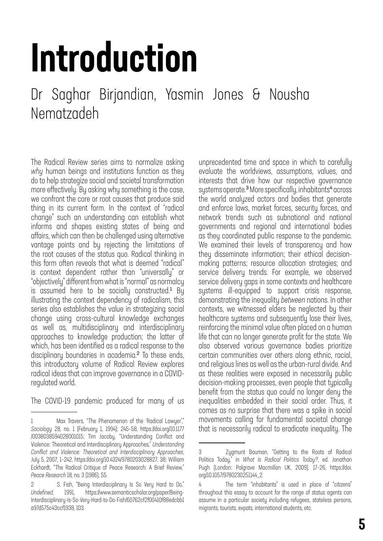# Introduction

# Dr Saghar Birjandian, Yasmin Jones & Nousha Nematzadeh

The Radical Review series aims to normalize asking *why* human beings and institutions function as they do to help strategize social and societal transformation more effectively. By asking why something is the case, we confront the core or root causes that produce said thing in its current form. In the context of "radical change" such an understanding can establish what informs and shapes existing states of being and affairs, which can then be challenged using alternative vantage points and by rejecting the limitations of the root causes of the status quo. Radical thinking in this form often reveals that what is deemed "radical" is context dependent rather than "universally" or "objectively" different from what is "normal" as normalcy is assumed here to be socially constructed.<sup>1</sup> By illustrating the context dependency of radicalism, this series also establishes the value in strategizing social change using cross-cultural knowledge exchanges as well as, multidisciplinary and interdisciplinary approaches to knowledge production; the latter of which, has been identified as a radical response to the disciplinary boundaries in academia.<sup>2</sup> To these ends, this introductory volume of Radical Review explores radical ideas that can improve governance in a COVIDregulated world.

The COVID-19 pandemic produced for many of us

unprecedented time and space in which to carefully evaluate the worldviews, assumptions, values, and interests that drive how our respective governance systems operate.<sup>3</sup> More specifically, inhabitants<sup>4</sup> across the world analyzed actors and bodies that generate and enforce laws, market forces, security forces, and network trends such as subnational and national governments and regional and international bodies as they coordinated public response to the pandemic. We examined their levels of transparency and how they disseminate information; their ethical decisionmaking patterns; resource allocation strategies; and service delivery trends. For example, we observed service delivery gaps in some contexts and healthcare systems ill-equipped to support crisis response, demonstrating the inequality *between* nations. In other contexts, we witnessed elders be neglected by their healthcare systems and subsequently lose their lives, reinforcing the minimal value often placed on a human life that can no longer generate profit for the state. We also observed various governance bodies prioritize certain communities over others along ethnic, racial, and religious lines as well as the urban-rural divide. And as these realities were exposed in necessarily public decision-making processes, even people that typically benefit from the status quo could no longer deny the inequalities embedded in their social order. Thus, it comes as no surprise that there was a spike in social movements calling for fundamental societal change that is necessarily radical to eradicate inequality. The

<sup>1</sup> Max Travers, "The Phenomenon of the `Radical Lawyer'," *Sociology* 28, no. 1 (February 1, 1994): 245–58, https://doi.org/10.1177 /0038038594028001015; Tim Jacoby, "Understanding Conflict and Violence: Theoretical and Interdisciplinary Approaches," *Understanding Conflict and Violence: Theoretical and Interdisciplinary Approaches*, July 5, 2007, 1–242, https://doi.org/10.4324/9780203028827, 38; William Eckhardt, "The Radical Critique of Peace Research: A Brief Review," *Peace Research* 18, no. 3 (1986), 55.

<sup>2</sup> S. Fish, "Being Interdisciplinary Is So Very Hard to Do," *Undefined*, 1991, https://www.semanticscholar.org/paper/Being-Interdisciplinary-Is-So-Very-Hard-to-Do-Fish/60762cf2f00410f88edcbb1 a97d575c43ccf1938, 103.

<sup>3</sup> Zygmunt Bauman, "Getting to the Roots of Radical Politics Today," in *What Is Radical Politics Today?*, ed. Jonathan Pugh (London: Palgrave Macmillan UK, 2009), 17–26, https://doi. org/10.1057/9780230251144\_2.

<sup>4</sup> The term "inhabitants" is used in place of "citizens" throughout this essay to account for the range of status agents can assume in a particular society including refugees, stateless persons, migrants, tourists, expats, international students, etc.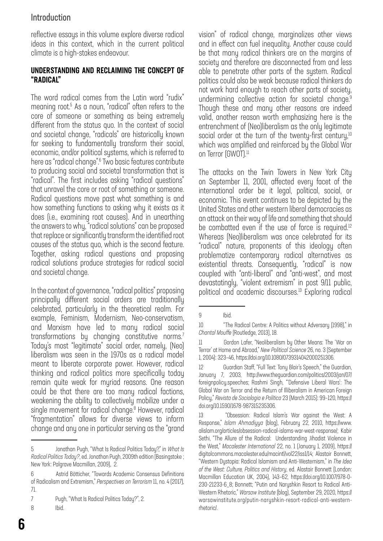### Introduction

reflective essays in this volume explore diverse radical ideas in this context, which in the current political climate is a high-stakes endeavour.

#### UNDERSTANDING AND RECLAIMING THE CONCEPT OF "RADICAL"

The word radical comes from the Latin word "rudix" meaning root.5 As a noun, "radical" often refers to the core of someone or something as being extremely different from the status quo. In the context of social and societal change, "radicals" are historically known for seeking to fundamentally transform their social, economic, and/or political systems, which is referred to here as "radical change".6 Two basic features contribute to producing social and societal transformation that is "radical". The first includes asking "radical questions" that unravel the core or root of something or someone. Radical questions move past what something is and how something functions to asking why it exists as it does (i.e., examining root causes). And in unearthing the answers to why, "radical solutions" can be proposed that replace or significantly transform the identified root causes of the status quo, which is the second feature. Together, asking radical questions and proposing radical solutions produce strategies for radical social and societal change.

In the context of governance, "radical politics" proposing principally different social orders are traditionally celebrated, particularly in the theoretical realm. For example, Feminism, Modernism, Neo-conservatism, and Marxism have led to many radical social transformations by changing constitutive norms.7 Today's most "legitimate" social order, namely, (Neo) liberalism was seen in the 1970s as a radical model meant to liberate corporate power. However, radical thinking and radical politics more specifically today remain quite weak for myriad reasons. One reason could be that there are too many radical factions, weakening the ability to collectively mobilize under a single movement for radical change.<sup>8</sup> However, radical "fragmentation" allows for diverse views to inform change and any one in particular serving as the "grand

vision" of radical change, marginalizes other views and in effect can fuel inequality. Another cause could be that many radical thinkers are on the margins of society and therefore are disconnected from and less able to penetrate other parts of the system. Radical politics could also be weak because radical thinkers do not work hard enough to reach other parts of society, undermining collective action for societal change.<sup>9</sup> Though these and many other reasons are indeed valid, another reason worth emphasizing here is the entrenchment of (Neo)liberalism as the only legitimate social order at the turn of the twenty-first century, $10$ which was amplified and reinforced by the Global War on Terror (GWOT).<sup>11</sup>

The attacks on the Twin Towers in New York City on September 11, 2001, affected every facet of the international order be it legal, political, social, or economic. This event continues to be depicted by the United States and other western liberal democracies as an attack on their way of life and something that should be combatted even if the use of force is required.<sup>12</sup> Whereas (Neo)liberalism was once celebrated for its "radical" nature, proponents of this ideology often problematize contemporary radical alternatives as existential threats. Consequently, "radical" is now coupled with "anti-liberal" and "anti-west", and most devastatingly, "violent extremism" in post 9/11 public, political and academic discourses.13 Exploring radical

<sup>5</sup> Jonathan Pugh, "What Is Radical Politics Today?," in *What Is Radical Politics Today?*, ed. Jonathan Pugh, 2009th edition (Basingstoke ; New York: Palgrave Macmillan, 2009), 2.

<sup>6</sup> Astrid Bötticher, "Towards Academic Consensus Definitions of Radicalism and Extremism," *Perspectives on Terrorism* 11, no. 4 (2017), 71.

<sup>7</sup> Pugh, "What Is Radical Politics Today?", 2.

<sup>8</sup> Ibid.

<sup>9</sup> Ibid.

<sup>10 &</sup>quot;The Radical Centre: A Politics without Adversary (1998)," in *Chantal Mouffe* (Routledge, 2013), 18.

<sup>11</sup> Gordon Lafer, "Neoliberalism by Other Means: The 'War on Terror' at Home and Abroad," *New Political Science* 26, no. 3 (September 1, 2004): 323–46, https://doi.org/10.1080/0739314042000251306.

<sup>12</sup> Guardian Staff, "Full Text: Tony Blair's Speech," the Guardian, January 7, 2003, http://www.theguardian.com/politics/2003/jan/07/ foreignpolicy.speeches; Rashmi Singh, "'Defensive Liberal Wars': The Global War on Terror and the Return of Illiberalism in American Foreign Policy," *Revista de Sociologia e Política* 23 (March 2015): 99–120, https:// doi.org/10.1590/1678-987315235306.

<sup>13 &</sup>quot;Obsession: Radical Islam's War against the West: A Response," *Islam Ahmadiyya* (blog), February 22, 2010, https://www. alislam.org/articles/obsession-radical-islams-war-west-response/; Kabir Sethi, "The Allure of the Radical: Understanding Jihadist Violence in the West," *Macalester International* 22, no. 1 (January 1, 2009), https:// digitalcommons.macalester.edu/macintl/vol22/iss1/14; Alastair Bonnett, "Western Dystopia: Radical Islamism and Anti-Westernism," in *The Idea of the West: Culture, Politics and History*, ed. Alastair Bonnett (London: Macmillan Education UK, 2004), 143–62, https://doi.org/10.1007/978-0- 230-21233-6\_8; Bonnett; "Putin and Naryshkin Resort to Radical Anti-Western Rhetoric," *Warsaw Institute* (blog), September 29, 2020, https:// warsawinstitute.org/putin-naryshkin-resort-radical-anti-westernrhetoric/.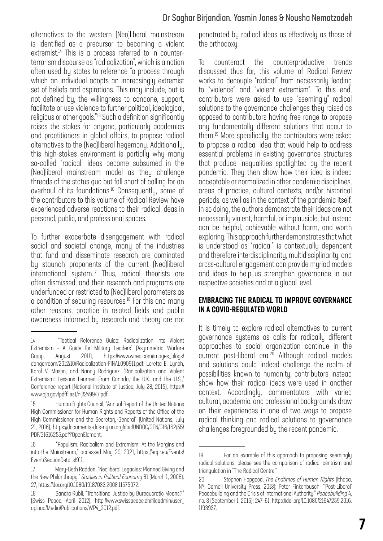alternatives to the western (Neo)liberal mainstream is identified as a precursor to becoming a violent extremist.<sup>14</sup> This is a process referred to in counterterrorism discourse as "radicalization", which is a notion often used by states to reference "a process through which an individual adopts an increasingly extremist set of beliefs and aspirations. This may include, but is not defined by, the willingness to condone, support, facilitate or use violence to further political, ideological, religious or other goals."15 Such a definition significantly raises the stakes for anyone, particularly academics and practitioners in global affairs, to propose radical alternatives to the (Neo)liberal hegemony. Additionally, this high-stakes environment is partially why many so-called "radical" ideas become subsumed in the (Neo)liberal mainstream model as they challenge threads of the status quo but fall short of calling for an overhaul of its foundations.<sup>16</sup> Consequently, some of the contributors to this volume of Radical Review have experienced adverse reactions to their radical ideas in personal, public, and professional spaces.

To further exacerbate disengagement with radical social and societal change, many of the industries that fund and disseminate research are dominated by staunch proponents of the current (Neo)liberal international system.<sup>17</sup> Thus, radical theorists are often dismissed, and their research and programs are underfunded or restricted to (Neo)liberal parameters as a condition of securing resources.<sup>18</sup> For this and many other reasons, practice in related fields and public awareness informed by research and theory are not

penetrated by radical ideas as effectively as those of the orthodoxy.

To counteract the counterproductive trends discussed thus far, this volume of Radical Review works to decouple "radical" from necessarily leading to "violence" and "violent extremism". To this end, contributors were asked to use "seemingly" radical solutions to the governance challenges they raised as opposed to contributors having free range to propose any fundamentally different solutions that occur to them.19 More specifically, the contributors were asked to propose a radical idea that would help to address essential problems in existing governance structures that produce inequalities spotlighted by the recent pandemic. They then show how their idea is indeed acceptable or normalized in other academic disciplines, areas of practice, cultural contexts, and/or historical periods, as well as in the context of the pandemic itself. In so doing, the authors demonstrate their ideas are not necessarily violent, harmful, or implausible, but instead can be helpful, achievable without harm, and worth exploring. This approach further demonstrates that what is understood as "radical" is contextually dependent and therefore interdisciplinarity, multidisciplinarity, and cross-cultural engagement can provide myriad models and ideas to help us strengthen governance in our respective societies and at a global level.

#### EMBRACING THE RADICAL TO IMPROVE GOVERNANCE IN A COVID-REGULATED WORLD

It is timely to explore radical alternatives to current governance systems as calls for radically different approaches to social organization continue in the current post-liberal era.<sup>20</sup> Although radical models and solutions could indeed challenge the realm of possibilities known to humanity, contributors instead show how their radical ideas were used in another context. Accordingly, commentators with varied cultural, academic, and professional backgrounds draw on their experiences in one of two ways to propose radical thinking and radical solutions to governance challenges foregrounded by the recent pandemic.

<sup>14 &</sup>quot;Tactical Reference Guide: Radicalization into Violent Extremism - A Guide for Militaru Leaders" (Asummetric Warfare Group, August 2011), https://www.wired.com/images\_blogs/ dangerroom/2012/10/Radicalization-FINAL090911.pdf; Loretta E. Lynch, Karol V. Mason, and Nancy Rodriguez, "Radicalization and Violent Extremism: Lessons Learned From Canada, the U.K. and the U.S." Conference report (National Institute of Justice, July 28, 2015), https:// www.ojp.gov/pdffiles1/nij/249947.pdf.

<sup>15</sup> Human Rights Council, "Annual Report of the United Nations High Commissioner for Human Rights and Reports of the Office of the High Commissioner and the Secretary-General" (United Nations, July 21, 2016), https://documents-dds-ny.un.org/doc/UNDOC/GEN/G16/162/55/ PDF/G1616255.pdf?OpenElement.

<sup>16 &</sup>quot;Populism, Radicalism and Extremism: At the Margins and into the Mainstream," accessed May 29, 2021, https://ecpr.eu/Events/ Event/SectionDetails/911.

<sup>17</sup> Mary-Beth Raddon, "Neoliberal Legacies: Planned Giving and the New Philanthropy," *Studies in Political Economy* 81 (March 1, 2008): 27, https://doi.org/10.1080/19187033.2008.11675072.

<sup>18</sup> Sandra Rubli, "Transitional Justice by Bureaucratic Means?" (Swiss Peace, April 2012), http://www.swisspeace.ch/fileadmin/user\_ upload/Media/Publications/WP4\_2012.pdf.

<sup>19</sup> For an example of this approach to proposing seemingly radical solutions, please see the comparison of radical centrism and triangulation in "The Radical Centre."

<sup>20</sup> Stephen Hopgood, *The Endtimes of Human Rights* (Ithaca, NY: Cornell University Press, 2013); Peter Finkenbusch, "'Post-Liberal' Peacebuilding and the Crisis of International Authority," *Peacebuilding* 4, no. 3 (September 1, 2016): 247–61, https://doi.org/10.1080/21647259.2016. 1193937.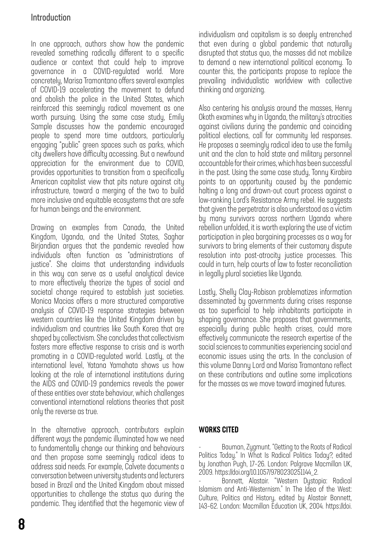## Introduction

In one approach, authors show how the pandemic revealed something radically different to a specific audience or context that could help to improve governance in a COVID-regulated world. More concretely, Marisa Tramontano offers several examples of COVID-19 accelerating the movement to defund and abolish the police in the United States, which reinforced this seemingly radical movement as one worth pursuing. Using the same case study, Emily Sample discusses how the pandemic encouraged people to spend more time outdoors, particularly engaging "public" green spaces such as parks, which city dwellers have difficulty accessing. But a newfound appreciation for the environment due to COVID, provides opportunities to transition from a specifically American capitalist view that pits nature against city infrastructure, toward a merging of the two to build more inclusive and equitable ecosystems that are safe for human beings and the environment.

Drawing on examples from Canada, the United Kingdom, Uganda, and the United States, Saghar Birjandian argues that the pandemic revealed how individuals often function as "administrations of justice". She claims that understanding individuals in this way can serve as a useful analytical device to more effectively theorize the types of social and societal change required to establish just societies. Monica Macias offers a more structured comparative analysis of COVID-19 response strategies between western countries like the United Kingdom driven by individualism and countries like South Korea that are shaped by collectivism. She concludes that collectivism fosters more effective response to crisis and is worth promoting in a COVID-regulated world. Lastly, at the international level, Yatana Yamahata shows us how looking at the role of international institutions during the AIDS and COVID-19 pandemics reveals the power of these entities over state behaviour, which challenges conventional international relations theories that posit only the reverse as true.

In the alternative approach, contributors explain different ways the pandemic illuminated how we need to fundamentally change our thinking and behaviours and then propose some seemingly radical ideas to address said needs. For example, Calvete documents a conversation between university students and lecturers based in Brazil and the United Kingdom about missed opportunities to challenge the status quo during the pandemic. They identified that the hegemonic view of individualism and capitalism is so deeply entrenched that even during a global pandemic that naturally disrupted that status quo, the masses did not mobilize to demand a new international political economy. To counter this, the participants propose to replace the prevailing individualistic worldview with collective thinking and organizing.

Also centering his analysis around the masses, Henry Okoth examines why in Uganda, the military's atrocities against civilians during the pandemic and coinciding political elections, call for community led responses. He proposes a seemingly radical idea to use the family unit and the clan to hold state and military personnel accountable for their crimes, which has been successful in the past. Using the same case study, Tonny Kirabira points to an opportunity caused by the pandemic halting a long and drawn-out court process against a low-ranking Lord's Resistance Army rebel. He suggests that given the perpetrator is also understood as a victim by many survivors across northern Uganda where rebellion unfolded, it is worth exploring the use of victim participation in plea bargaining processes as a way for survivors to bring elements of their customary dispute resolution into post-atrocity justice processes. This could in turn, help courts of law to foster reconciliation in legally plural societies like Uganda.

Lastly, Shelly Clay-Robison problematizes information disseminated by governments during crises response as too superficial to help inhabitants participate in shaping governance. She proposes that governments, especially during public health crises, could more effectively communicate the research expertise of the social sciences to communities experiencing social and economic issues using the arts. In the conclusion of this volume Danny Lord and Marisa Tramontano reflect on these contributions and outline some implications for the masses as we move toward imagined futures.

#### WORKS CITED

Bauman, Zygmunt. "Getting to the Roots of Radical Politics Today." In What Is Radical Politics Today?, edited by Jonathan Pugh, 17–26. London: Palgrave Macmillan UK, 2009. https://doi.org/10.1057/9780230251144\_2.

- Bonnett, Alastair. "Western Dystopia: Radical Islamism and Anti-Westernism." In The Idea of the West: Culture, Politics and History, edited by Alastair Bonnett, 143–62. London: Macmillan Education UK, 2004. https://doi.